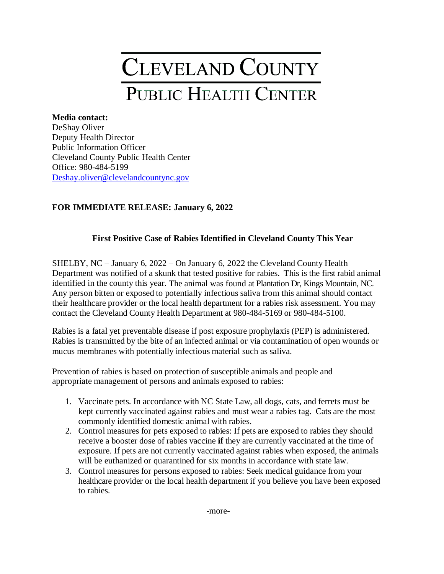## CLEVELAND COUNTY PUBLIC HEALTH CENTER

## **Media contact:**

DeShay Oliver Deputy Health Director Public Information Officer Cleveland County Public Health Center Office: 980-484-5199 [Deshay.oliver@clevelandcountync.](mailto:Deshay.oliver@clevelandcountync)gov

## **FOR IMMEDIATE RELEASE: January 6, 2022**

## **First Positive Case of Rabies Identified in Cleveland County This Year**

SHELBY, NC – January 6, 2022 – On January 6, 2022 the Cleveland County Health Department was notified of a skunk that tested positive for rabies. This is the first rabid animal identified in the county this year. The animal was found at Plantation Dr, Kings Mountain, NC. Any person bitten or exposed to potentially infectious saliva from this animal should contact their healthcare provider or the local health department for a rabies risk assessment. You may contact the Cleveland County Health Department at 980-484-5169 or 980-484-5100.

Rabies is a fatal yet preventable disease if post exposure prophylaxis (PEP) is administered. Rabies is transmitted by the bite of an infected animal or via contamination of open wounds or mucus membranes with potentially infectious material such as saliva.

Prevention of rabies is based on protection of susceptible animals and people and appropriate management of persons and animals exposed to rabies:

- 1. Vaccinate pets. In accordance with NC State Law, all dogs, cats, and ferrets must be kept currently vaccinated against rabies and must wear a rabies tag. Cats are the most commonly identified domestic animal with rabies.
- 2. Control measures for pets exposed to rabies: If pets are exposed to rabies they should receive a booster dose of rabies vaccine **if** they are currently vaccinated at the time of exposure. If pets are not currently vaccinated against rabies when exposed, the animals will be euthanized or quarantined for six months in accordance with state law.
- 3. Control measures for persons exposed to rabies: Seek medical guidance from your healthcare provider or the local health department if you believe you have been exposed to rabies.